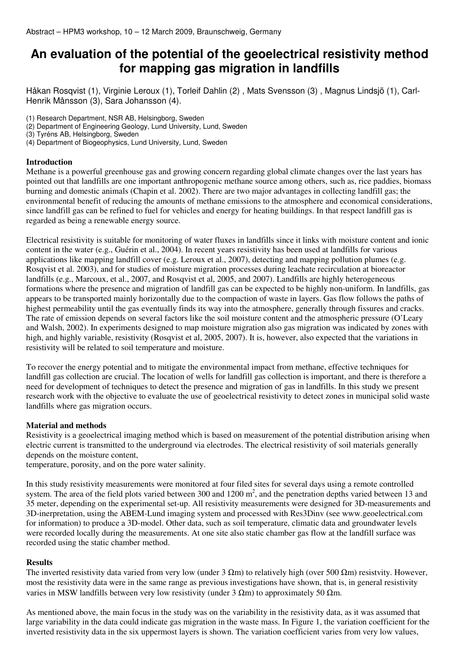# **An evaluation of the potential of the geoelectrical resistivity method for mapping gas migration in landfills**

Håkan Rosqvist (1), Virginie Leroux (1), Torleif Dahlin (2) , Mats Svensson (3) , Magnus Lindsjö (1), Carl-Henrik Månsson (3), Sara Johansson (4).

(1) Research Department, NSR AB, Helsingborg, Sweden

(2) Department of Engineering Geology, Lund University, Lund, Sweden

(3) Tyréns AB, Helsingborg, Sweden

(4) Department of Biogeophysics, Lund University, Lund, Sweden

## **Introduction**

Methane is a powerful greenhouse gas and growing concern regarding global climate changes over the last years has pointed out that landfills are one important anthropogenic methane source among others, such as, rice paddies, biomass burning and domestic animals (Chapin et al. 2002). There are two major advantages in collecting landfill gas; the environmental benefit of reducing the amounts of methane emissions to the atmosphere and economical considerations, since landfill gas can be refined to fuel for vehicles and energy for heating buildings. In that respect landfill gas is regarded as being a renewable energy source.

Electrical resistivity is suitable for monitoring of water fluxes in landfills since it links with moisture content and ionic content in the water (e.g., Guérin et al., 2004). In recent years resistivity has been used at landfills for various applications like mapping landfill cover (e.g. Leroux et al., 2007), detecting and mapping pollution plumes (e.g. Rosqvist et al. 2003), and for studies of moisture migration processes during leachate recirculation at bioreactor landfills (e.g., Marcoux, et al., 2007, and Rosqvist et al, 2005, and 2007). Landfills are highly heterogeneous formations where the presence and migration of landfill gas can be expected to be highly non-uniform. In landfills, gas appears to be transported mainly horizontally due to the compaction of waste in layers. Gas flow follows the paths of highest permeability until the gas eventually finds its way into the atmosphere, generally through fissures and cracks. The rate of emission depends on several factors like the soil moisture content and the atmospheric pressure (O'Leary and Walsh, 2002). In experiments designed to map moisture migration also gas migration was indicated by zones with high, and highly variable, resistivity (Rosqvist et al, 2005, 2007). It is, however, also expected that the variations in resistivity will be related to soil temperature and moisture.

To recover the energy potential and to mitigate the environmental impact from methane, effective techniques for landfill gas collection are crucial. The location of wells for landfill gas collection is important, and there is therefore a need for development of techniques to detect the presence and migration of gas in landfills. In this study we present research work with the objective to evaluate the use of geoelectrical resistivity to detect zones in municipal solid waste landfills where gas migration occurs.

#### **Material and methods**

Resistivity is a geoelectrical imaging method which is based on measurement of the potential distribution arising when electric current is transmitted to the underground via electrodes. The electrical resistivity of soil materials generally depends on the moisture content,

temperature, porosity, and on the pore water salinity.

In this study resistivity measurements were monitored at four filed sites for several days using a remote controlled system. The area of the field plots varied between  $300$  and  $1200 \text{ m}^2$ , and the penetration depths varied between 13 and 35 meter, depending on the experimental set-up. All resistivity measurements were designed for 3D-measurements and 3D-inerpretation, using the ABEM-Lund imaging system and processed with Res3Dinv (see www.geoelectrical.com for information) to produce a 3D-model. Other data, such as soil temperature, climatic data and groundwater levels were recorded locally during the measurements. At one site also static chamber gas flow at the landfill surface was recorded using the static chamber method.

## **Results**

The inverted resistivity data varied from very low (under  $3 \Omega$ m) to relatively high (over 500  $\Omega$ m) resistvity. However, most the resistivity data were in the same range as previous investigations have shown, that is, in general resistivity varies in MSW landfills between very low resistivity (under 3 Ωm) to approximately 50 Ωm.

As mentioned above, the main focus in the study was on the variability in the resistivity data, as it was assumed that large variability in the data could indicate gas migration in the waste mass. In Figure 1, the variation coefficient for the inverted resistivity data in the six uppermost layers is shown. The variation coefficient varies from very low values,